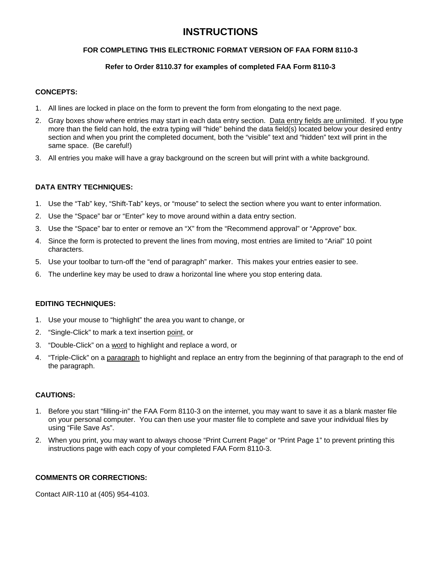# **INSTRUCTIONS**

### **FOR COMPLETING THIS ELECTRONIC FORMAT VERSION OF FAA FORM 8110-3**

## **Refer to Order 8110.37 for examples of completed FAA Form 8110-3**

#### **CONCEPTS:**

- 1. All lines are locked in place on the form to prevent the form from elongating to the next page.
- 2. Gray boxes show where entries may start in each data entry section. Data entry fields are unlimited. If you type more than the field can hold, the extra typing will "hide" behind the data field(s) located below your desired entry section and when you print the completed document, both the "visible" text and "hidden" text will print in the same space. (Be careful!)
- 3. All entries you make will have a gray background on the screen but will print with a white background.

### **DATA ENTRY TECHNIQUES:**

- 1. Use the "Tab" key, "Shift-Tab" keys, or "mouse" to select the section where you want to enter information.
- 2. Use the "Space" bar or "Enter" key to move around within a data entry section.
- 3. Use the "Space" bar to enter or remove an "X" from the "Recommend approval" or "Approve" box.
- 4. Since the form is protected to prevent the lines from moving, most entries are limited to "Arial" 10 point characters.
- 5. Use your toolbar to turn-off the "end of paragraph" marker. This makes your entries easier to see.
- 6. The underline key may be used to draw a horizontal line where you stop entering data.

### **EDITING TECHNIQUES:**

- 1. Use your mouse to "highlight" the area you want to change, or
- 2. "Single-Click" to mark a text insertion point, or
- 3. "Double-Click" on a word to highlight and replace a word, or
- 4. "Triple-Click" on a paragraph to highlight and replace an entry from the beginning of that paragraph to the end of the paragraph.

### **CAUTIONS:**

- 1. Before you start "filling-in" the FAA Form 8110-3 on the internet, you may want to save it as a blank master file on your personal computer. You can then use your master file to complete and save your individual files by using "File Save As".
- 2. When you print, you may want to always choose "Print Current Page" or "Print Page 1" to prevent printing this instructions page with each copy of your completed FAA Form 8110-3.

### **COMMENTS OR CORRECTIONS:**

Contact AIR-110 at (405) 954-4103.